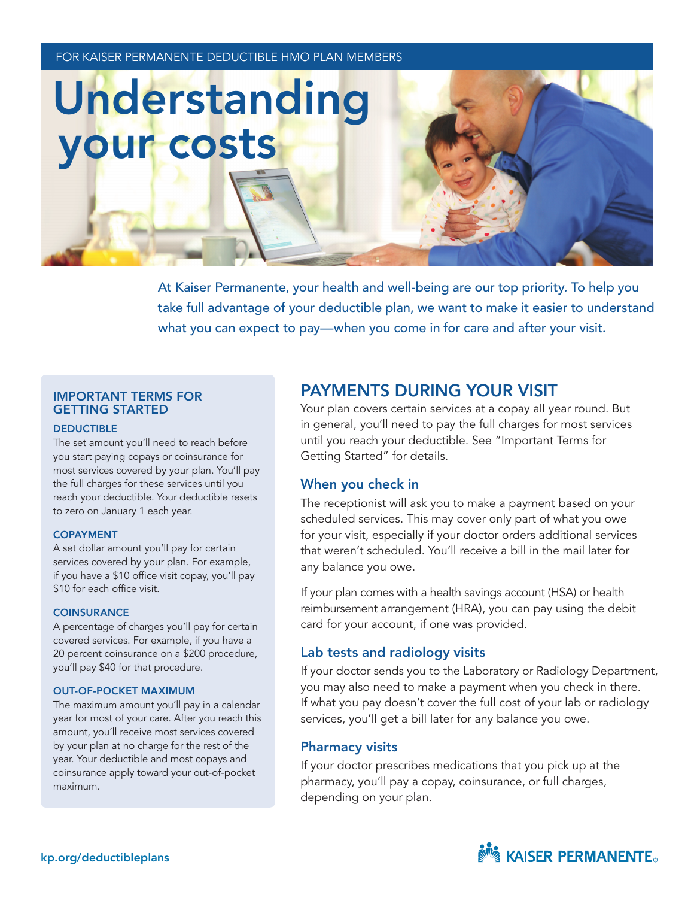FOR KAISER PERMANENTE DEDUCTIBLE HMO PLAN MEMBERS

# Understanding your costs

At Kaiser Permanente, your health and well-being are our top priority. To help you take full advantage of your deductible plan, we want to make it easier to understand what you can expect to pay—when you come in for care and after your visit.

## IMPORTANT TERMS FOR GETTING STARTED

### **DEDUCTIBLE**

The set amount you'll need to reach before you start paying copays or coinsurance for most services covered by your plan. You'll pay the full charges for these services until you reach your deductible. Your deductible resets to zero on January 1 each year.

## COPAYMENT

A set dollar amount you'll pay for certain services covered by your plan. For example, if you have a \$10 office visit copay, you'll pay \$10 for each office visit.

#### **COINSURANCE**

A percentage of charges you'll pay for certain covered services. For example, if you have a 20 percent coinsurance on a \$200 procedure, you'll pay \$40 for that procedure.

## OUT-OF-POCKET MAXIMUM

The maximum amount you'll pay in a calendar year for most of your care. After you reach this amount, you'll receive most services covered by your plan at no charge for the rest of the year. Your deductible and most copays and coinsurance apply toward your out-of-pocket maximum.

# PAYMENTS DURING YOUR VISIT

Your plan covers certain services at a copay all year round. But in general, you'll need to pay the full charges for most services until you reach your deductible. See "Important Terms for Getting Started" for details.

# When you check in

The receptionist will ask you to make a payment based on your scheduled services. This may cover only part of what you owe for your visit, especially if your doctor orders additional services that weren't scheduled. You'll receive a bill in the mail later for any balance you owe.

If your plan comes with a health savings account (HSA) or health reimbursement arrangement (HRA), you can pay using the debit card for your account, if one was provided.

# Lab tests and radiology visits

If your doctor sends you to the Laboratory or Radiology Department, you may also need to make a payment when you check in there. If what you pay doesn't cover the full cost of your lab or radiology services, you'll get a bill later for any balance you owe.

# Pharmacy visits

If your doctor prescribes medications that you pick up at the pharmacy, you'll pay a copay, coinsurance, or full charges, depending on your plan.